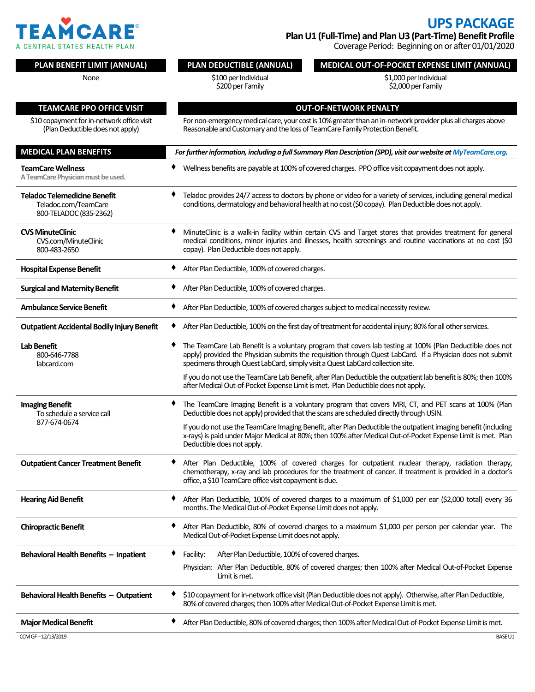

## **UPS PACKAGE**

**Plan U1 (Full-Time) and Plan U3 (Part-Time) Benefit Profile** Coverage Period: Beginning on or after 01/01/2020

| PLAN BENEFIT LIMIT (ANNUAL)                                                           | PLAN DEDUCTIBLE (ANNUAL)                                                                                                                                                                                                                                                                                        | MEDICAL OUT-OF-POCKET EXPENSE LIMIT (ANNUAL)                                                                                                                                                    |  |  |
|---------------------------------------------------------------------------------------|-----------------------------------------------------------------------------------------------------------------------------------------------------------------------------------------------------------------------------------------------------------------------------------------------------------------|-------------------------------------------------------------------------------------------------------------------------------------------------------------------------------------------------|--|--|
| None                                                                                  | \$100 per Individual                                                                                                                                                                                                                                                                                            | \$1,000 per Individual                                                                                                                                                                          |  |  |
|                                                                                       | \$200 per Family                                                                                                                                                                                                                                                                                                | \$2,000 per Family                                                                                                                                                                              |  |  |
| <b>TEAMCARE PPO OFFICE VISIT</b>                                                      | <b>OUT-OF-NETWORK PENALTY</b>                                                                                                                                                                                                                                                                                   |                                                                                                                                                                                                 |  |  |
| \$10 copayment for in-network office visit                                            | For non-emergency medical care, your cost is 10% greater than an in-network provider plus all charges above                                                                                                                                                                                                     |                                                                                                                                                                                                 |  |  |
| (Plan Deductible does not apply)                                                      | Reasonable and Customary and the loss of TeamCare Family Protection Benefit.                                                                                                                                                                                                                                    |                                                                                                                                                                                                 |  |  |
| <b>MEDICAL PLAN BENEFITS</b>                                                          | For further information, including a full Summary Plan Description (SPD), visit our website at MyTeamCare.org.                                                                                                                                                                                                  |                                                                                                                                                                                                 |  |  |
| <b>TeamCare Wellness</b><br>A TeamCare Physician must be used.                        | Wellness benefits are payable at 100% of covered charges. PPO office visit copayment does not apply.                                                                                                                                                                                                            |                                                                                                                                                                                                 |  |  |
| <b>Teladoc Telemedicine Benefit</b><br>Teladoc.com/TeamCare<br>800-TELADOC (835-2362) | Teladoc provides 24/7 access to doctors by phone or video for a variety of services, including general medical<br>conditions, dermatology and behavioral health at no cost (\$0 copay). Plan Deductible does not apply.                                                                                         |                                                                                                                                                                                                 |  |  |
| <b>CVS MinuteClinic</b><br>CVS.com/MinuteClinic<br>800-483-2650                       | MinuteClinic is a walk-in facility within certain CVS and Target stores that provides treatment for general<br>medical conditions, minor injuries and illnesses, health screenings and routine vaccinations at no cost (\$0<br>copay). Plan Deductible does not apply.                                          |                                                                                                                                                                                                 |  |  |
| <b>Hospital Expense Benefit</b>                                                       | After Plan Deductible, 100% of covered charges.                                                                                                                                                                                                                                                                 |                                                                                                                                                                                                 |  |  |
| <b>Surgical and Maternity Benefit</b>                                                 | After Plan Deductible, 100% of covered charges.<br>٠                                                                                                                                                                                                                                                            |                                                                                                                                                                                                 |  |  |
| <b>Ambulance Service Benefit</b>                                                      | After Plan Deductible, 100% of covered charges subject to medical necessity review.<br>٠                                                                                                                                                                                                                        |                                                                                                                                                                                                 |  |  |
| <b>Outpatient Accidental Bodily Injury Benefit</b>                                    | ٠<br>After Plan Deductible, 100% on the first day of treatment for accidental injury; 80% for all other services.                                                                                                                                                                                               |                                                                                                                                                                                                 |  |  |
| <b>Lab Benefit</b><br>800-646-7788<br>labcard.com                                     | ٠<br>The TeamCare Lab Benefit is a voluntary program that covers lab testing at 100% (Plan Deductible does not<br>apply) provided the Physician submits the requisition through Quest LabCard. If a Physician does not submit<br>specimens through Quest LabCard, simply visit a Quest LabCard collection site. |                                                                                                                                                                                                 |  |  |
|                                                                                       | If you do not use the TeamCare Lab Benefit, after Plan Deductible the outpatient lab benefit is 80%; then 100%<br>after Medical Out-of-Pocket Expense Limit is met. Plan Deductible does not apply.                                                                                                             |                                                                                                                                                                                                 |  |  |
| <b>Imaging Benefit</b><br>To schedule a service call                                  |                                                                                                                                                                                                                                                                                                                 | The TeamCare Imaging Benefit is a voluntary program that covers MRI, CT, and PET scans at 100% (Plan<br>Deductible does not apply) provided that the scans are scheduled directly through USIN. |  |  |
| 877-674-0674                                                                          | If you do not use the TeamCare Imaging Benefit, after Plan Deductible the outpatient imaging benefit (including<br>x-rays) is paid under Major Medical at 80%; then 100% after Medical Out-of-Pocket Expense Limit is met. Plan<br>Deductible does not apply.                                                   |                                                                                                                                                                                                 |  |  |
| <b>Outpatient Cancer Treatment Benefit</b>                                            | After Plan Deductible, 100% of covered charges for outpatient nuclear therapy, radiation therapy,<br>chemotherapy, x-ray and lab procedures for the treatment of cancer. If treatment is provided in a doctor's<br>office, a \$10 TeamCare office visit copayment is due.                                       |                                                                                                                                                                                                 |  |  |
| <b>Hearing Aid Benefit</b>                                                            | After Plan Deductible, 100% of covered charges to a maximum of \$1,000 per ear (\$2,000 total) every 36<br>٠<br>months. The Medical Out-of-Pocket Expense Limit does not apply.                                                                                                                                 |                                                                                                                                                                                                 |  |  |
| <b>Chiropractic Benefit</b>                                                           | After Plan Deductible, 80% of covered charges to a maximum \$1,000 per person per calendar year. The<br>Medical Out-of-Pocket Expense Limit does not apply.                                                                                                                                                     |                                                                                                                                                                                                 |  |  |
| Behavioral Health Benefits - Inpatient                                                | Facility:<br>After Plan Deductible, 100% of covered charges.                                                                                                                                                                                                                                                    |                                                                                                                                                                                                 |  |  |
|                                                                                       | Limit is met.                                                                                                                                                                                                                                                                                                   | Physician: After Plan Deductible, 80% of covered charges; then 100% after Medical Out-of-Pocket Expense                                                                                         |  |  |
| Behavioral Health Benefits - Outpatient                                               | \$10 copayment for in-network office visit (Plan Deductible does not apply). Otherwise, after Plan Deductible,<br>80% of covered charges; then 100% after Medical Out-of-Pocket Expense Limit is met.                                                                                                           |                                                                                                                                                                                                 |  |  |
| <b>Major Medical Benefit</b>                                                          | After Plan Deductible, 80% of covered charges; then 100% after Medical Out-of-Pocket Expense Limit is met.<br>٠                                                                                                                                                                                                 |                                                                                                                                                                                                 |  |  |